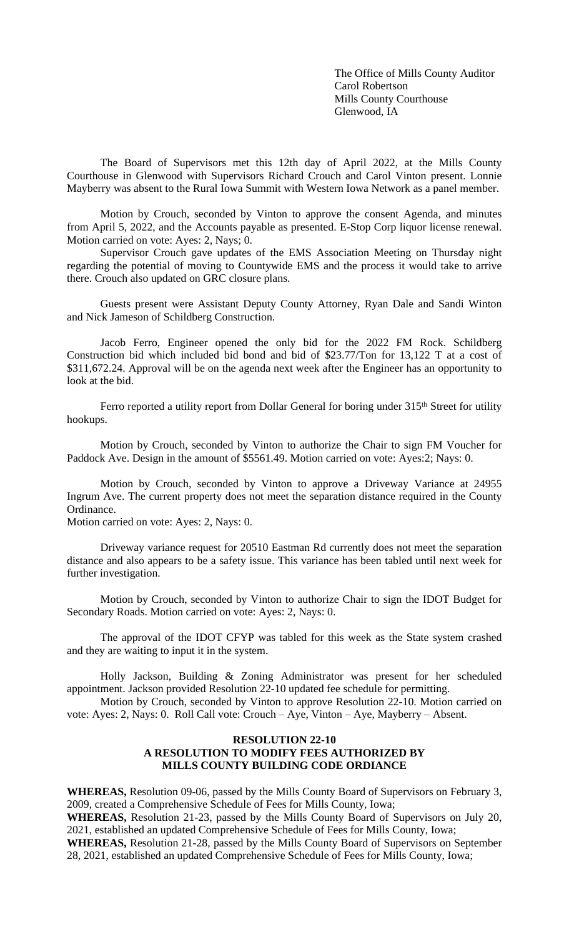The Office of Mills County Auditor Carol Robertson Mills County Courthouse Glenwood, IA

The Board of Supervisors met this 12th day of April 2022, at the Mills County Courthouse in Glenwood with Supervisors Richard Crouch and Carol Vinton present. Lonnie Mayberry was absent to the Rural Iowa Summit with Western Iowa Network as a panel member.

Motion by Crouch, seconded by Vinton to approve the consent Agenda, and minutes from April 5, 2022, and the Accounts payable as presented. E-Stop Corp liquor license renewal. Motion carried on vote: Ayes: 2, Nays; 0.

Supervisor Crouch gave updates of the EMS Association Meeting on Thursday night regarding the potential of moving to Countywide EMS and the process it would take to arrive there. Crouch also updated on GRC closure plans.

Guests present were Assistant Deputy County Attorney, Ryan Dale and Sandi Winton and Nick Jameson of Schildberg Construction.

Jacob Ferro, Engineer opened the only bid for the 2022 FM Rock. Schildberg Construction bid which included bid bond and bid of \$23.77/Ton for 13,122 T at a cost of \$311,672.24. Approval will be on the agenda next week after the Engineer has an opportunity to look at the bid.

Ferro reported a utility report from Dollar General for boring under 315<sup>th</sup> Street for utility hookups.

Motion by Crouch, seconded by Vinton to authorize the Chair to sign FM Voucher for Paddock Ave. Design in the amount of \$5561.49. Motion carried on vote: Ayes:2; Nays: 0.

Motion by Crouch, seconded by Vinton to approve a Driveway Variance at 24955 Ingrum Ave. The current property does not meet the separation distance required in the County Ordinance.

Motion carried on vote: Ayes: 2, Nays: 0.

Driveway variance request for 20510 Eastman Rd currently does not meet the separation distance and also appears to be a safety issue. This variance has been tabled until next week for further investigation.

Motion by Crouch, seconded by Vinton to authorize Chair to sign the IDOT Budget for Secondary Roads. Motion carried on vote: Ayes: 2, Nays: 0.

The approval of the IDOT CFYP was tabled for this week as the State system crashed and they are waiting to input it in the system.

Holly Jackson, Building & Zoning Administrator was present for her scheduled appointment. Jackson provided Resolution 22-10 updated fee schedule for permitting.

Motion by Crouch, seconded by Vinton to approve Resolution 22-10. Motion carried on vote: Ayes: 2, Nays: 0. Roll Call vote: Crouch – Aye, Vinton – Aye, Mayberry – Absent.

## **RESOLUTION 22-10 A RESOLUTION TO MODIFY FEES AUTHORIZED BY MILLS COUNTY BUILDING CODE ORDIANCE**

**WHEREAS,** Resolution 09-06, passed by the Mills County Board of Supervisors on February 3, 2009, created a Comprehensive Schedule of Fees for Mills County, Iowa;

**WHEREAS,** Resolution 21-23, passed by the Mills County Board of Supervisors on July 20, 2021, established an updated Comprehensive Schedule of Fees for Mills County, Iowa;

**WHEREAS,** Resolution 21-28, passed by the Mills County Board of Supervisors on September 28, 2021, established an updated Comprehensive Schedule of Fees for Mills County, Iowa;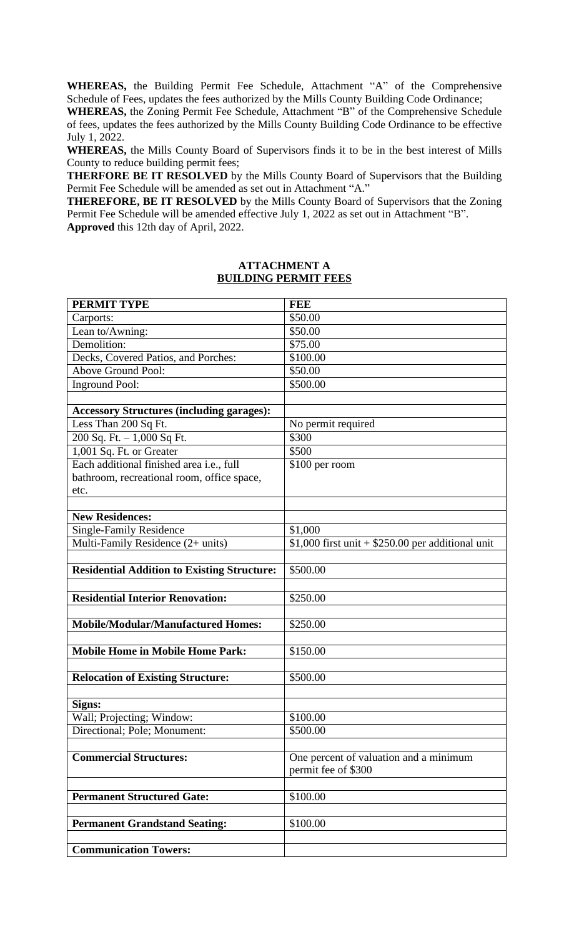**WHEREAS,** the Building Permit Fee Schedule, Attachment "A" of the Comprehensive Schedule of Fees, updates the fees authorized by the Mills County Building Code Ordinance;

**WHEREAS,** the Zoning Permit Fee Schedule, Attachment "B" of the Comprehensive Schedule of fees, updates the fees authorized by the Mills County Building Code Ordinance to be effective July 1, 2022.

**WHEREAS,** the Mills County Board of Supervisors finds it to be in the best interest of Mills County to reduce building permit fees;

**THERFORE BE IT RESOLVED** by the Mills County Board of Supervisors that the Building Permit Fee Schedule will be amended as set out in Attachment "A."

**THEREFORE, BE IT RESOLVED** by the Mills County Board of Supervisors that the Zoning Permit Fee Schedule will be amended effective July 1, 2022 as set out in Attachment "B". **Approved** this 12th day of April, 2022.

## **ATTACHMENT A BUILDING PERMIT FEES**

| <b>PERMIT TYPE</b>                                 | <b>FEE</b>                                         |
|----------------------------------------------------|----------------------------------------------------|
| Carports:                                          | \$50.00                                            |
| Lean to/Awning:                                    | \$50.00                                            |
| Demolition:                                        | \$75.00                                            |
| Decks, Covered Patios, and Porches:                | \$100.00                                           |
| <b>Above Ground Pool:</b>                          | \$50.00                                            |
| <b>Inground Pool:</b>                              | \$500.00                                           |
|                                                    |                                                    |
| <b>Accessory Structures (including garages):</b>   |                                                    |
| Less Than 200 Sq Ft.                               | No permit required                                 |
| 200 Sq. Ft. $-1,000$ Sq Ft.                        | \$300                                              |
| 1,001 Sq. Ft. or Greater                           | \$500                                              |
| Each additional finished area i.e., full           | \$100 per room                                     |
| bathroom, recreational room, office space,         |                                                    |
| etc.                                               |                                                    |
|                                                    |                                                    |
| <b>New Residences:</b>                             |                                                    |
| <b>Single-Family Residence</b>                     | \$1,000                                            |
| Multi-Family Residence (2+ units)                  | $$1,000$ first unit + \$250.00 per additional unit |
|                                                    |                                                    |
| <b>Residential Addition to Existing Structure:</b> | \$500.00                                           |
|                                                    |                                                    |
| <b>Residential Interior Renovation:</b>            | \$250.00                                           |
|                                                    |                                                    |
| <b>Mobile/Modular/Manufactured Homes:</b>          | \$250.00                                           |
|                                                    |                                                    |
| <b>Mobile Home in Mobile Home Park:</b>            | \$150.00                                           |
|                                                    |                                                    |
| <b>Relocation of Existing Structure:</b>           | \$500.00                                           |
|                                                    |                                                    |
| Signs:                                             |                                                    |
| Wall; Projecting; Window:                          | $\overline{$100.00}$                               |
| Directional; Pole; Monument:                       | \$500.00                                           |
| <b>Commercial Structures:</b>                      |                                                    |
|                                                    | One percent of valuation and a minimum             |
|                                                    | permit fee of \$300                                |
| <b>Permanent Structured Gate:</b>                  | \$100.00                                           |
|                                                    |                                                    |
| <b>Permanent Grandstand Seating:</b>               | \$100.00                                           |
|                                                    |                                                    |
| <b>Communication Towers:</b>                       |                                                    |
|                                                    |                                                    |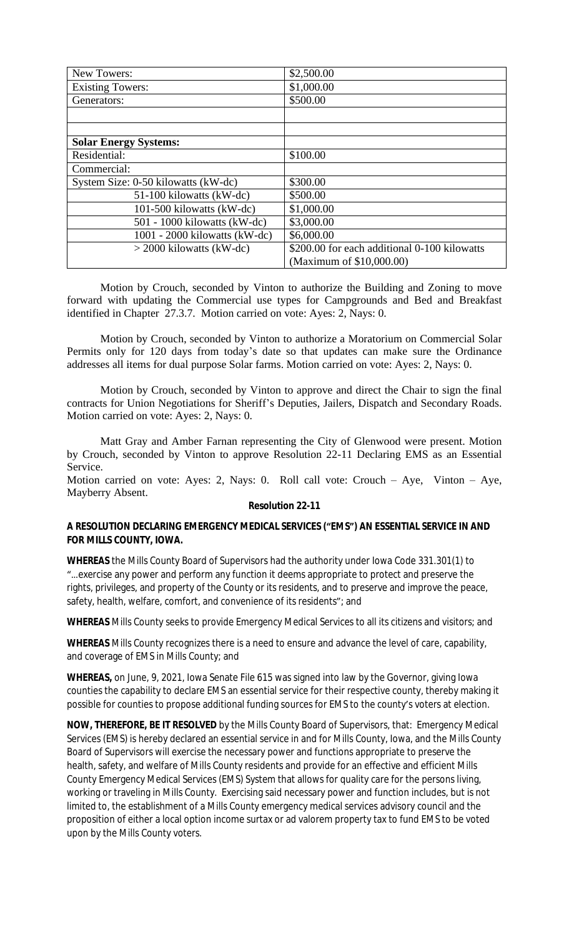| New Towers:                         | \$2,500.00                                   |
|-------------------------------------|----------------------------------------------|
| <b>Existing Towers:</b>             | \$1,000.00                                   |
| Generators:                         | \$500.00                                     |
|                                     |                                              |
|                                     |                                              |
| <b>Solar Energy Systems:</b>        |                                              |
| Residential:                        | \$100.00                                     |
| Commercial:                         |                                              |
| System Size: 0-50 kilowatts (kW-dc) | \$300.00                                     |
| 51-100 kilowatts (kW-dc)            | \$500.00                                     |
| 101-500 kilowatts (kW-dc)           | \$1,000.00                                   |
| $501 - 1000$ kilowatts (kW-dc)      | \$3,000.00                                   |
| $1001 - 2000$ kilowatts (kW-dc)     | \$6,000.00                                   |
| $>$ 2000 kilowatts (kW-dc)          | \$200.00 for each additional 0-100 kilowatts |
|                                     | (Maximum of \$10,000.00)                     |

Motion by Crouch, seconded by Vinton to authorize the Building and Zoning to move forward with updating the Commercial use types for Campgrounds and Bed and Breakfast identified in Chapter 27.3.7. Motion carried on vote: Ayes: 2, Nays: 0.

Motion by Crouch, seconded by Vinton to authorize a Moratorium on Commercial Solar Permits only for 120 days from today's date so that updates can make sure the Ordinance addresses all items for dual purpose Solar farms. Motion carried on vote: Ayes: 2, Nays: 0.

Motion by Crouch, seconded by Vinton to approve and direct the Chair to sign the final contracts for Union Negotiations for Sheriff's Deputies, Jailers, Dispatch and Secondary Roads. Motion carried on vote: Ayes: 2, Nays: 0.

Matt Gray and Amber Farnan representing the City of Glenwood were present. Motion by Crouch, seconded by Vinton to approve Resolution 22-11 Declaring EMS as an Essential Service.

Motion carried on vote: Ayes: 2, Nays: 0. Roll call vote: Crouch – Aye, Vinton – Aye, Mayberry Absent.

## **Resolution 22-11**

## **A RESOLUTION DECLARING EMERGENCY MEDICAL SERVICES ("EMS") AN ESSENTIAL SERVICE IN AND FOR MILLS COUNTY, IOWA.**

**WHEREAS** the Mills County Board of Supervisors had the authority under Iowa Code 331.301(1) to "…exercise any power and perform any function it deems appropriate to protect and preserve the rights, privileges, and property of the County or its residents, and to preserve and improve the peace, safety, health, welfare, comfort, and convenience of its residents"; and

**WHEREAS** Mills County seeks to provide Emergency Medical Services to all its citizens and visitors; and

**WHEREAS** Mills County recognizes there is a need to ensure and advance the level of care, capability, and coverage of EMS in Mills County; and

**WHEREAS,** on June, 9, 2021, Iowa Senate File 615 was signed into law by the Governor, giving Iowa counties the capability to declare EMS an essential service for their respective county, thereby making it possible for counties to propose additional funding sources for EMS to the county's voters at election.

**NOW, THEREFORE, BE IT RESOLVED** by the Mills County Board of Supervisors, that: Emergency Medical Services (EMS) is hereby declared an essential service in and for Mills County, Iowa, and the Mills County Board of Supervisors will exercise the necessary power and functions appropriate to preserve the health, safety, and welfare of Mills County residents and provide for an effective and efficient Mills County Emergency Medical Services (EMS) System that allows for quality care for the persons living, working or traveling in Mills County. Exercising said necessary power and function includes, but is not limited to, the establishment of a Mills County emergency medical services advisory council and the proposition of either a local option income surtax or ad valorem property tax to fund EMS to be voted upon by the Mills County voters.